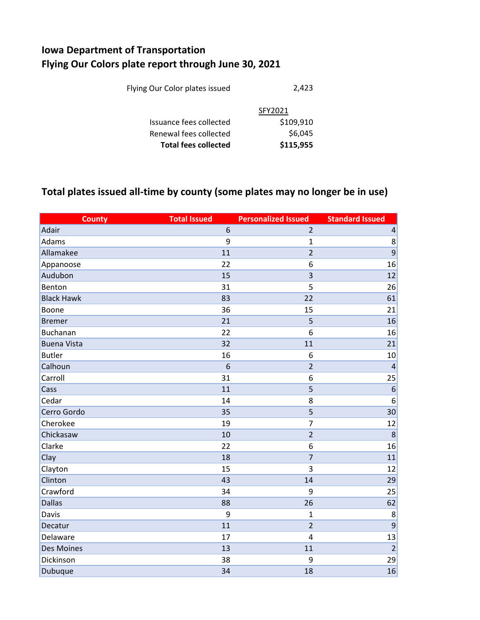## **Iowa Department of Transportation Flying Our Colors plate report through June 30, 2021**

| <b>Total fees collected</b>    | \$115,955 |
|--------------------------------|-----------|
| Renewal fees collected         | \$6,045   |
| Issuance fees collected        | \$109,910 |
|                                | SFY2021   |
| Flying Our Color plates issued | 2,423     |
|                                |           |

## **Total plates issued all-time by county (some plates may no longer be in use)**

| <b>County</b>      | <b>Total Issued</b> | <b>Personalized Issued</b> | <b>Standard Issued</b> |
|--------------------|---------------------|----------------------------|------------------------|
| Adair              | 6                   | $\overline{2}$             | $\sqrt{4}$             |
| Adams              | 9                   | $\mathbf 1$                | 8                      |
| Allamakee          | 11                  | $\overline{2}$             | 9                      |
| Appanoose          | 22                  | 6                          | 16                     |
| Audubon            | 15                  | 3                          | 12                     |
| Benton             | 31                  | 5                          | 26                     |
| <b>Black Hawk</b>  | 83                  | 22                         | 61                     |
| Boone              | 36                  | 15                         | 21                     |
| <b>Bremer</b>      | 21                  | 5                          | 16                     |
| <b>Buchanan</b>    | 22                  | 6                          | 16                     |
| <b>Buena Vista</b> | 32                  | 11                         | 21                     |
| <b>Butler</b>      | 16                  | 6                          | 10                     |
| Calhoun            | 6                   | $\overline{2}$             | $\overline{4}$         |
| Carroll            | 31                  | 6                          | 25                     |
| Cass               | 11                  | 5                          | 6                      |
| Cedar              | 14                  | 8                          | 6                      |
| Cerro Gordo        | 35                  | 5                          | 30                     |
| Cherokee           | 19                  | $\overline{7}$             | 12                     |
| Chickasaw          | 10                  | $\overline{2}$             | 8                      |
| Clarke             | 22                  | 6                          | 16                     |
| Clay               | 18                  | $\overline{7}$             | 11                     |
| Clayton            | 15                  | $\overline{3}$             | 12                     |
| Clinton            | 43                  | 14                         | 29                     |
| Crawford           | 34                  | 9                          | 25                     |
| <b>Dallas</b>      | 88                  | 26                         | 62                     |
| Davis              | 9                   | $\mathbf{1}$               | 8                      |
| Decatur            | 11                  | $\overline{2}$             | 9                      |
| Delaware           | 17                  | $\overline{4}$             | 13                     |
| <b>Des Moines</b>  | 13                  | 11                         | $\overline{2}$         |
| Dickinson          | 38                  | 9                          | 29                     |
| Dubuque            | 34                  | 18                         | 16                     |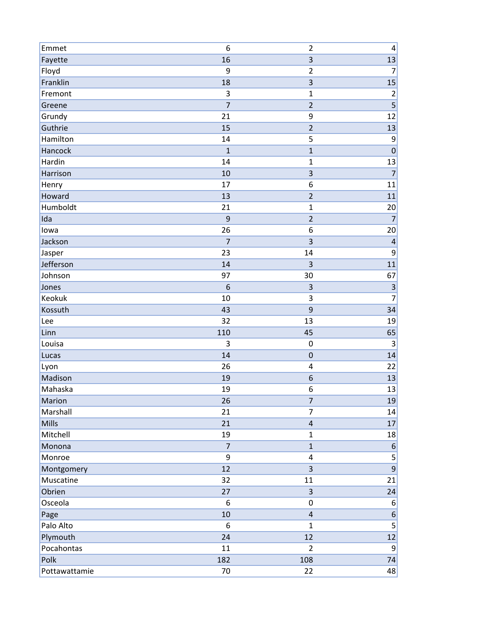| Emmet         | 6              | $\overline{2}$ | 4                       |
|---------------|----------------|----------------|-------------------------|
| Fayette       | 16             | 3              | 13                      |
| Floyd         | 9              | $\overline{2}$ | $\overline{7}$          |
| Franklin      | 18             | 3              | 15                      |
| Fremont       | 3              | $\mathbf 1$    | $\overline{\mathbf{c}}$ |
| Greene        | $\overline{7}$ | $\overline{2}$ |                         |
| Grundy        | 21             | 9              | 12                      |
| Guthrie       | 15             | $\overline{2}$ | 13                      |
| Hamilton      | 14             | 5              | 9                       |
| Hancock       | $\mathbf{1}$   | $\mathbf{1}$   | $\overline{0}$          |
| Hardin        | 14             | $\mathbf 1$    | 13                      |
| Harrison      | 10             | 3              | $\overline{7}$          |
| Henry         | 17             | 6              | 11                      |
| Howard        | 13             | $\overline{2}$ | 11                      |
| Humboldt      | 21             | 1              | 20                      |
| Ida           | 9              | $\overline{2}$ | $\overline{7}$          |
| lowa          | 26             | 6              | 20                      |
| Jackson       | $\overline{7}$ | 3              | $\overline{\mathbf{r}}$ |
| Jasper        | 23             | 14             | 9                       |
| Jefferson     | 14             | 3              | 11                      |
| Johnson       | 97             | 30             | 67                      |
| Jones         | 6              | 3              | 3                       |
| Keokuk        | 10             | 3              | $\overline{7}$          |
| Kossuth       | 43             | 9              | 34                      |
| Lee           | 32             | 13             | 19                      |
| Linn          | 110            | 45             | 65                      |
| Louisa        | 3              | $\mathbf 0$    | $\mathsf 3$             |
| Lucas         | 14             | $\mathbf 0$    | 14                      |
| Lyon          | 26             | 4              | 22                      |
| Madison       | 19             | 6              | 13                      |
| Mahaska       | 19             | 6              | 13                      |
| Marion        | 26             | $\overline{7}$ | 19                      |
| Marshall      | 21             | $\overline{7}$ | 14                      |
| <b>Mills</b>  | 21             | $\sqrt{4}$     | 17                      |
| Mitchell      | 19             | $\mathbf{1}$   | 18                      |
| Monona        | $\overline{7}$ | $\mathbf{1}$   | $6 \overline{6}$        |
| Monroe        | 9              | $\pmb{4}$      | $\overline{\mathbf{5}}$ |
| Montgomery    | 12             | 3              | $\overline{9}$          |
| Muscatine     | 32             | 11             | 21                      |
| Obrien        | 27             | 3              | 24                      |
| Osceola       | 6              | $\pmb{0}$      | 6                       |
| Page          | 10             | $\sqrt{4}$     | $6 \mid$                |
| Palo Alto     | 6              | $\mathbf{1}$   | $\overline{5}$          |
| Plymouth      | 24             | 12             | 12                      |
| Pocahontas    | 11             | $\overline{2}$ | $\overline{9}$          |
| Polk          | 182            | 108            | 74                      |
| Pottawattamie | 70             | 22             | 48                      |